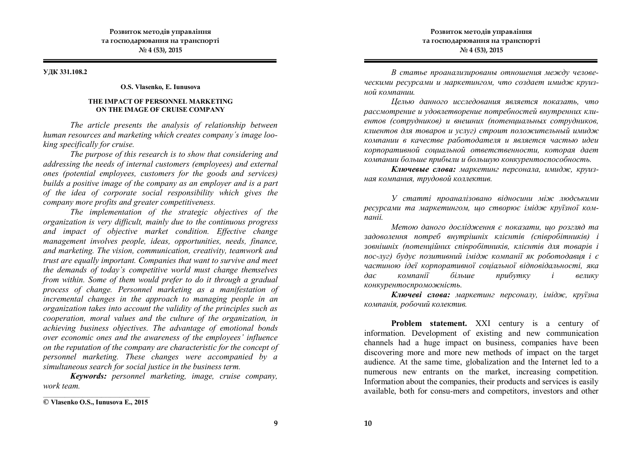#### **УДК 331.108.2**

### **O.S. Vlasenko, E. Iunusova**

## **THE IMPACT OF PERSONNEL MARKETING ON THE IMAGE OF CRUISE COMPANY**

*The article presents the analysis of relationship between human resources and marketing which creates company´s image looking specifically for cruise.* 

*The purpose of this research is to show that considering and addressing the needs of internal customers (employees) and external ones (potential employees, customers for the goods and services) builds a positive image of the company as an employer and is a part of the idea of corporate social responsibility which gives the company more profits and greater competitiveness.* 

*The implementation of the strategic objectives of the organization is very difficult, mainly due to the continuous progress and impact of objective market condition. Effective change management involves people, ideas, opportunities, needs, finance, and marketing. The vision, communication, creativity, teamwork and trust are equally important. Companies that want to survive and meet the demands of today's competitive world must change themselves from within. Some of them would prefer to do it through a gradual process of change. Personnel marketing as a manifestation of incremental changes in the approach to managing people in an organization takes into account the validity of the principles such as cooperation, moral values and the culture of the organization, in achieving business objectives. The advantage of emotional bonds over economic ones and the awareness of the employees' influence on the reputation of the company are characteristic for the concept of personnel marketing. These changes were accompanied by a simultaneous search for social justice in the business term.*

*Keywords: personnel marketing, image, cruise company, work team.* 

*В статье проанализированы отношения между человеческими ресурсами и маркетингом, что создает имидж круизной кoмпании.* 

*Целью данного исследования является показать, что рассмотрение и удовлетворение потребностей внутренних клиентов (сотрудников) и внешних (потенциальных сотрудников, клиентов для товаров и услуг) строит положительный имидж компании в качестве работодателя и является частью идеu корпоративной социальной ответственности, которая дает компании больше прибыли и большую конкурентоспособность.* 

*Ключевые слова: маркетинг пepcoнaлa, имидж, круизная кoмпания, тpудoвoй кoллeктив.*

*У статті проаналізовано відносини між людськими ресурсами та маркетингом, що створює імідж круїзної кoмпаніі.*

*Метою даного дослідження є показати, що розгляд та задоволення потреб внутрішніх клієнтів (співробітників) і зовнішніх (потенційних співробітників, клієнтів для товарів і пос-луг) будує позитивний імідж компанії як роботодавця і є частиною ідеї корпоративної соціальної відповідальності, яка дає компанії більше прибутку і велику конкурентоспроможність.*

*Ключеві слова: маркетинг пepcoнaлy, імідж, круїзна компанія, poбочий колектив.*

**Problem statement.** XXI century is a century of information. Development of existing and new communication channels had a huge impact on business, companies have been discovering more and more new methods of impact on the target audience. At the same time, globalization and the Internet led to a numerous new entrants on the market, increasing competition. Information about the companies, their products and services is easily available, both for consu-mers and competitors, investors and other

**Розвиток методів управління та господарювання на транспорті № 4 (53), 2015**

\_\_\_\_\_\_\_\_\_\_\_\_\_\_\_\_\_\_\_\_\_\_\_\_\_\_\_\_\_\_\_\_\_\_\_ **© Vlasenko O.S., Iunusova E., 2015**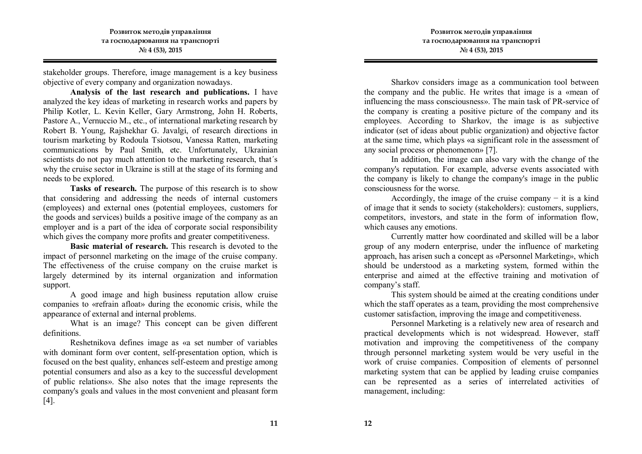stakeholder groups. Therefore, image management is a key business objective of every company and organization nowadays.

**Analysis of the last research and publications.** I have analyzed the key ideas of marketing in research works and papers by Philip Kotler, L. Kevin Keller, Gary Armstrong, John H. Roberts, Pastore A., Vernuccio M., etc., of international marketing research by Robert B. Young, Rajshekhar G. Javalgi, of research directions in tourism marketing by Rodoula Tsiotsou, Vanessa Ratten, marketing communications by Paul Smith, etc. Unfortunately, Ukrainian scientists do not pay much attention to the marketing research, that´s why the cruise sector in Ukraine is still at the stage of its forming and needs to be explored.

**Tasks of research.** The purpose of this research is to show that considering and addressing the needs of internal customers (employees) and external ones (potential employees, customers for the goods and services) builds a positive image of the company as an employer and is a part of the idea of corporate social responsibility which gives the company more profits and greater competitiveness.

**Basic material of research.** This research is devoted to the impact of personnel marketing on the image of the cruise company. The effectiveness of the cruise company on the cruise market is largely determined by its internal organization and information support.

A good image and high business reputation allow cruise companies to «refrain afloat» during the economic crisis, while the appearance of external and internal problems.

What is an image? This concept can be given different definitions.

Reshetnikova defines image as «a set number of variables with dominant form over content, self-presentation option, which is focused on the best quality, enhances self-esteem and prestige among potential consumers and also as a key to the successful development of public relations». She also notes that the image represents the company's goals and values in the most convenient and pleasant form [4].

Sharkov considers image as a communication tool between the company and the public. He writes that image is a «mean of influencing the mass consciousness». The main task of PR-service of the company is creating a positive picture of the company and its employees. According to Sharkov, the image is as subjective indicator (set of ideas about public organization) and objective factor at the same time, which plays «a significant role in the assessment of any social process or phenomenon» [7].

In addition, the image can also vary with the change of the company's reputation. For example, adverse events associated with the company is likely to change the company's image in the public consciousness for the worse.

Accordingly, the image of the cruise company  $-$  it is a kind of image that it sends to society (stakeholders): customers, suppliers, competitors, investors, and state in the form of information flow, which causes any emotions.

Currently matter how coordinated and skilled will be a labor group of any modern enterprise, under the influence of marketing approach, has arisen such a concept as «Personnel Marketing», which should be understood as a marketing system, formed within the enterprise and aimed at the effective training and motivation of company's staff.

This system should be aimed at the creating conditions under which the staff operates as a team, providing the most comprehensive customer satisfaction, improving the image and competitiveness.

Personnel Marketing is a relatively new area of research and practical developments which is not widespread. However, staff motivation and improving the competitiveness of the company through personnel marketing system would be very useful in the work of cruise companies. Composition of elements of personnel marketing system that can be applied by leading cruise companies can be represented as a series of interrelated activities of management, including: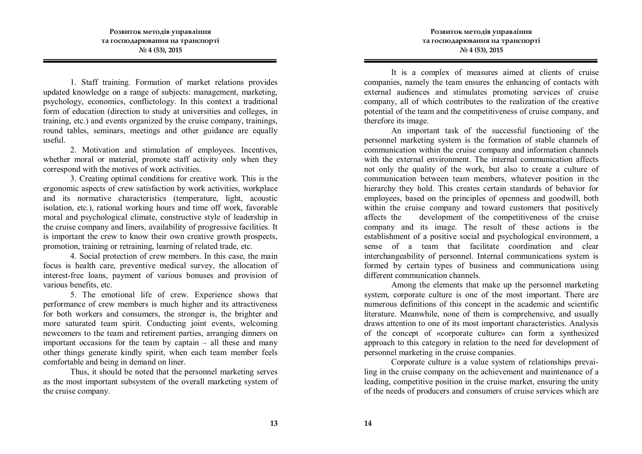1. Staff training. Formation of market relations provides updated knowledge on a range of subjects: management, marketing, psychology, economics, conflictology. In this context a traditional form of education (direction to study at universities and colleges, in training, etc.) and events organized by the cruise company, trainings, round tables, seminars, meetings and other guidance are equally useful.

2. Motivation and stimulation of employees. Incentives, whether moral or material, promote staff activity only when they correspond with the motives of work activities.

3. Creating optimal conditions for creative work. This is the ergonomic aspects of crew satisfaction by work activities, workplace and its normative characteristics (temperature, light, acoustic isolation, etc.), rational working hours and time off work, favorable moral and psychological climate, constructive style of leadership in the cruise company and liners, availability of progressive facilities. It is important the crew to know their own creative growth prospects, promotion, training or retraining, learning of related trade, etc.

4. Social protection of crew members. In this case, the main focus is health care, preventive medical survey, the allocation of interest-free loans, payment of various bonuses and provision of various benefits, etc.

5. The emotional life of crew. Experience shows that performance of crew members is much higher and its attractiveness for both workers and consumers, the stronger is, the brighter and more saturated team spirit. Conducting joint events, welcoming newcomers to the team and retirement parties, arranging dinners on important occasions for the team by captain – all these and many other things generate kindly spirit, when each team member feels comfortable and being in demand on liner.

Thus, it should be noted that the personnel marketing serves as the most important subsystem of the overall marketing system of the cruise company.

It is a complex of measures aimed at clients of cruise companies, namely the team ensures the enhancing of contacts with external audiences and stimulates promoting services of cruise company, all of which contributes to the realization of the creative potential of the team and the competitiveness of cruise company, and therefore its image.

An important task of the successful functioning of the personnel marketing system is the formation of stable channels of communication within the cruise company and information channels with the external environment. The internal communication affects not only the quality of the work, but also to create a culture of communication between team members, whatever position in the hierarchy they hold. This creates certain standards of behavior for employees, based on the principles of openness and goodwill, both within the cruise company and toward customers that positively affects the development of the competitiveness of the cruise company and its image. The result of these actions is the establishment of a positive social and psychological environment, a sense of a team that facilitate coordination and clear interchangeability of personnel. Internal communications system is formed by certain types of business and communications using different communication channels.

Among the elements that make up the personnel marketing system, corporate culture is one of the most important. There are numerous definitions of this concept in the academic and scientific literature. Meanwhile, none of them is comprehensive, and usually draws attention to one of its most important characteristics. Analysis of the concept of «corporate culture» can form a synthesized approach to this category in relation to the need for development of personnel marketing in the cruise companies.

Corporate culture is a value system of relationships prevailing in the cruise company on the achievement and maintenance of a leading, competitive position in the cruise market, ensuring the unity of the needs of producers and consumers of cruise services which are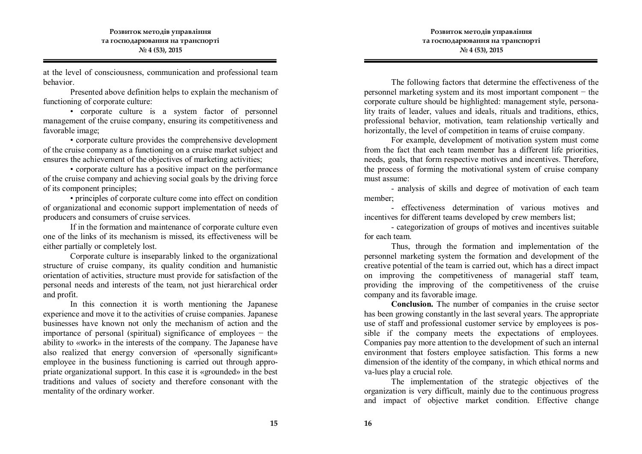at the level of consciousness, communication and professional team behavior.

Presented above definition helps to explain the mechanism of functioning of corporate culture:

• corporate culture is a system factor of personnel management of the cruise company, ensuring its competitiveness and favorable image;

• corporate culture provides the comprehensive development of the cruise company as a functioning on a cruise market subject and ensures the achievement of the objectives of marketing activities;

• corporate culture has a positive impact on the performance of the cruise company and achieving social goals by the driving force of its component principles;

• principles of corporate culture come into effect on condition of organizational and economic support implementation of needs of producers and consumers of cruise services.

If in the formation and maintenance of corporate culture even one of the links of its mechanism is missed, its effectiveness will be either partially or completely lost.

Corporate culture is inseparably linked to the organizational structure of cruise company, its quality condition and humanistic orientation of activities, structure must provide for satisfaction of the personal needs and interests of the team, not just hierarchical order and profit.

In this connection it is worth mentioning the Japanese experience and move it to the activities of cruise companies. Japanese businesses have known not only the mechanism of action and the importance of personal (spiritual) significance of employees − the ability to «work» in the interests of the company. The Japanese have also realized that energy conversion of «personally significant» employee in the business functioning is carried out through appropriate organizational support. In this case it is «grounded» in the best traditions and values of society and therefore consonant with the mentality of the ordinary worker.

The following factors that determine the effectiveness of the personnel marketing system and its most important component − the corporate culture should be highlighted: management style, personality traits of leader, values and ideals, rituals and traditions, ethics, professional behavior, motivation, team relationship vertically and horizontally, the level of competition in teams of cruise company.

For example, development of motivation system must come from the fact that each team member has a different life priorities, needs, goals, that form respective motives and incentives. Therefore, the process of forming the motivational system of cruise company must assume:

- analysis of skills and degree of motivation of each team member;

- effectiveness determination of various motives and incentives for different teams developed by crew members list;

- categorization of groups of motives and incentives suitable for each team.

Thus, through the formation and implementation of the personnel marketing system the formation and development of the creative potential of the team is carried out, which has a direct impact on improving the competitiveness of managerial staff team, providing the improving of the competitiveness of the cruise company and its favorable image.

**Conclusion.** The number of companies in the cruise sector has been growing constantly in the last several years. The appropriate use of staff and professional customer service by employees is possible if the company meets the expectations of employees. Companies pay more attention to the development of such an internal environment that fosters employee satisfaction. This forms a new dimension of the identity of the company, in which ethical norms and va-lues play a crucial role.

The implementation of the strategic objectives of the organization is very difficult, mainly due to the continuous progress and impact of objective market condition. Effective change